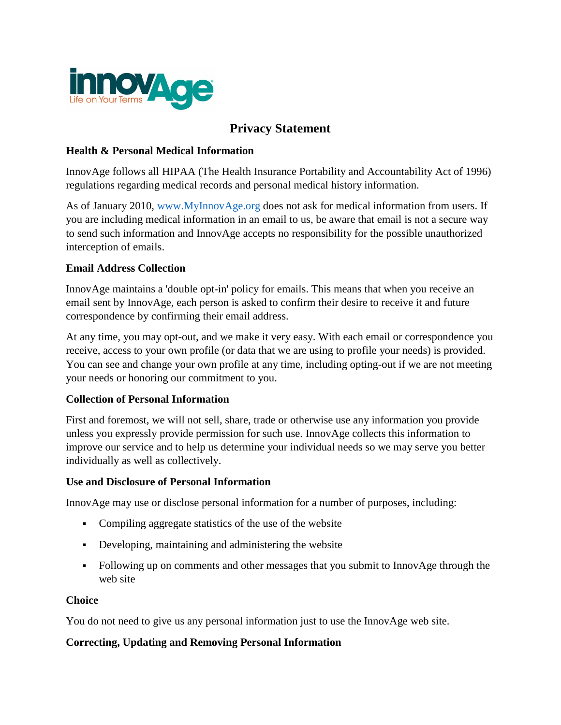

# **Privacy Statement**

## **Health & Personal Medical Information**

InnovAge follows all HIPAA (The Health Insurance Portability and Accountability Act of 1996) regulations regarding medical records and personal medical history information.

As of January 2010, [www.MyInnovAge.org](http://www.myinnovage.org/) does not ask for medical information from users. If you are including medical information in an email to us, be aware that email is not a secure way to send such information and InnovAge accepts no responsibility for the possible unauthorized interception of emails.

## **Email Address Collection**

InnovAge maintains a 'double opt-in' policy for emails. This means that when you receive an email sent by InnovAge, each person is asked to confirm their desire to receive it and future correspondence by confirming their email address.

At any time, you may opt-out, and we make it very easy. With each email or correspondence you receive, access to your own profile (or data that we are using to profile your needs) is provided. You can see and change your own profile at any time, including opting-out if we are not meeting your needs or honoring our commitment to you.

### **Collection of Personal Information**

First and foremost, we will not sell, share, trade or otherwise use any information you provide unless you expressly provide permission for such use. InnovAge collects this information to improve our service and to help us determine your individual needs so we may serve you better individually as well as collectively.

### **Use and Disclosure of Personal Information**

InnovAge may use or disclose personal information for a number of purposes, including:

- Compiling aggregate statistics of the use of the website
- Developing, maintaining and administering the website
- Following up on comments and other messages that you submit to InnovAge through the web site

## **Choice**

You do not need to give us any personal information just to use the InnovAge web site.

### **Correcting, Updating and Removing Personal Information**